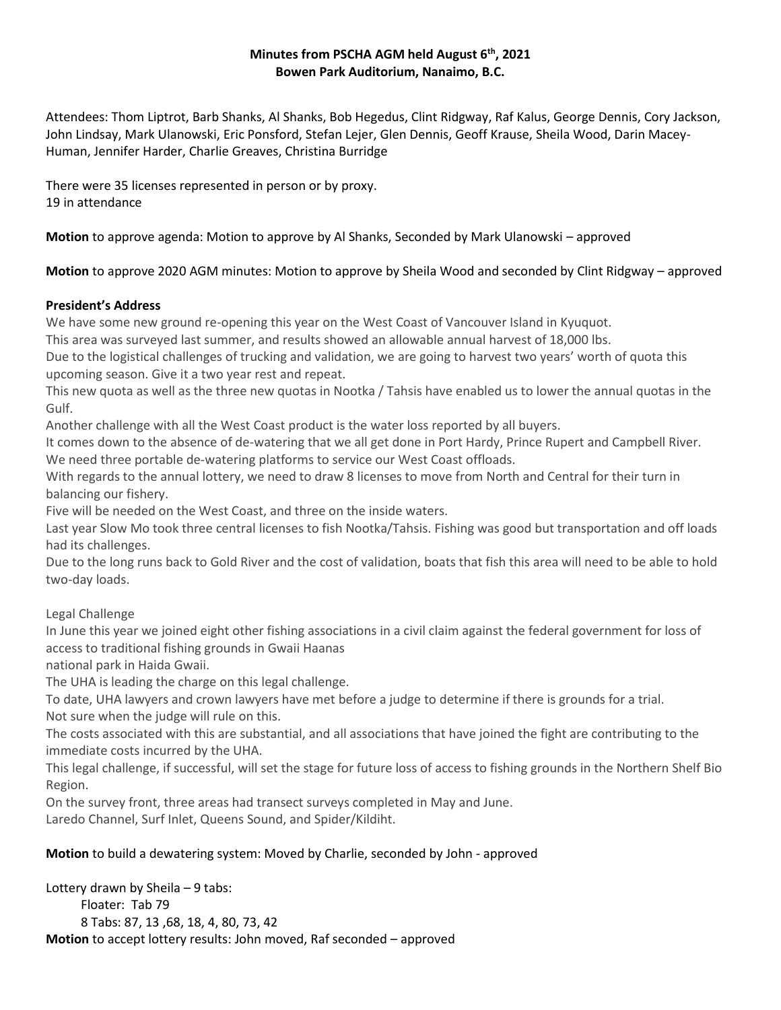### **Minutes from PSCHA AGM held August 6th, 2021 Bowen Park Auditorium, Nanaimo, B.C.**

Attendees: Thom Liptrot, Barb Shanks, Al Shanks, Bob Hegedus, Clint Ridgway, Raf Kalus, George Dennis, Cory Jackson, John Lindsay, Mark Ulanowski, Eric Ponsford, Stefan Lejer, Glen Dennis, Geoff Krause, Sheila Wood, Darin Macey-Human, Jennifer Harder, Charlie Greaves, Christina Burridge

There were 35 licenses represented in person or by proxy. 19 in attendance

**Motion** to approve agenda: Motion to approve by Al Shanks, Seconded by Mark Ulanowski – approved

## **Motion** to approve 2020 AGM minutes: Motion to approve by Sheila Wood and seconded by Clint Ridgway – approved

## **President's Address**

We have some new ground re-opening this year on the West Coast of Vancouver Island in Kyuquot.

This area was surveyed last summer, and results showed an allowable annual harvest of 18,000 lbs.

Due to the logistical challenges of trucking and validation, we are going to harvest two years' worth of quota this upcoming season. Give it a two year rest and repeat.

This new quota as well as the three new quotas in Nootka / Tahsis have enabled us to lower the annual quotas in the Gulf.

Another challenge with all the West Coast product is the water loss reported by all buyers.

It comes down to the absence of de-watering that we all get done in Port Hardy, Prince Rupert and Campbell River. We need three portable de-watering platforms to service our West Coast offloads.

With regards to the annual lottery, we need to draw 8 licenses to move from North and Central for their turn in balancing our fishery.

Five will be needed on the West Coast, and three on the inside waters.

Last year Slow Mo took three central licenses to fish Nootka/Tahsis. Fishing was good but transportation and off loads had its challenges.

Due to the long runs back to Gold River and the cost of validation, boats that fish this area will need to be able to hold two-day loads.

Legal Challenge

In June this year we joined eight other fishing associations in a civil claim against the federal government for loss of access to traditional fishing grounds in Gwaii Haanas

national park in Haida Gwaii.

The UHA is leading the charge on this legal challenge.

To date, UHA lawyers and crown lawyers have met before a judge to determine if there is grounds for a trial. Not sure when the judge will rule on this.

The costs associated with this are substantial, and all associations that have joined the fight are contributing to the immediate costs incurred by the UHA.

This legal challenge, if successful, will set the stage for future loss of access to fishing grounds in the Northern Shelf Bio Region.

On the survey front, three areas had transect surveys completed in May and June.

Laredo Channel, Surf Inlet, Queens Sound, and Spider/Kildiht.

# **Motion** to build a dewatering system: Moved by Charlie, seconded by John - approved

Lottery drawn by Sheila – 9 tabs: Floater: Tab 79 8 Tabs: 87, 13 ,68, 18, 4, 80, 73, 42 **Motion** to accept lottery results: John moved, Raf seconded – approved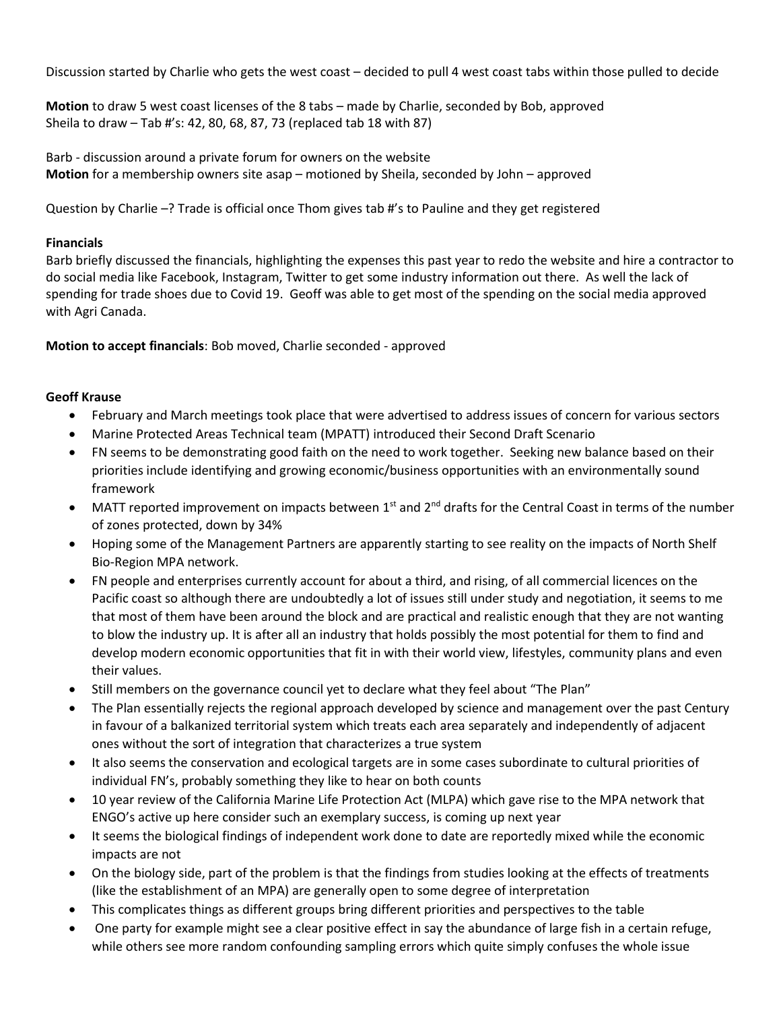Discussion started by Charlie who gets the west coast – decided to pull 4 west coast tabs within those pulled to decide

**Motion** to draw 5 west coast licenses of the 8 tabs – made by Charlie, seconded by Bob, approved Sheila to draw – Tab #'s: 42, 80, 68, 87, 73 (replaced tab 18 with 87)

Barb - discussion around a private forum for owners on the website **Motion** for a membership owners site asap – motioned by Sheila, seconded by John – approved

Question by Charlie –? Trade is official once Thom gives tab #'s to Pauline and they get registered

#### **Financials**

Barb briefly discussed the financials, highlighting the expenses this past year to redo the website and hire a contractor to do social media like Facebook, Instagram, Twitter to get some industry information out there. As well the lack of spending for trade shoes due to Covid 19. Geoff was able to get most of the spending on the social media approved with Agri Canada.

**Motion to accept financials**: Bob moved, Charlie seconded - approved

#### **Geoff Krause**

- February and March meetings took place that were advertised to address issues of concern for various sectors
- Marine Protected Areas Technical team (MPATT) introduced their Second Draft Scenario
- FN seems to be demonstrating good faith on the need to work together. Seeking new balance based on their priorities include identifying and growing economic/business opportunities with an environmentally sound framework
- MATT reported improvement on impacts between  $1<sup>st</sup>$  and  $2<sup>nd</sup>$  drafts for the Central Coast in terms of the number of zones protected, down by 34%
- Hoping some of the Management Partners are apparently starting to see reality on the impacts of North Shelf Bio-Region MPA network.
- FN people and enterprises currently account for about a third, and rising, of all commercial licences on the Pacific coast so although there are undoubtedly a lot of issues still under study and negotiation, it seems to me that most of them have been around the block and are practical and realistic enough that they are not wanting to blow the industry up. It is after all an industry that holds possibly the most potential for them to find and develop modern economic opportunities that fit in with their world view, lifestyles, community plans and even their values.
- Still members on the governance council yet to declare what they feel about "The Plan"
- The Plan essentially rejects the regional approach developed by science and management over the past Century in favour of a balkanized territorial system which treats each area separately and independently of adjacent ones without the sort of integration that characterizes a true system
- It also seems the conservation and ecological targets are in some cases subordinate to cultural priorities of individual FN's, probably something they like to hear on both counts
- 10 year review of the California Marine Life Protection Act (MLPA) which gave rise to the MPA network that ENGO's active up here consider such an exemplary success, is coming up next year
- It seems the biological findings of independent work done to date are reportedly mixed while the economic impacts are not
- On the biology side, part of the problem is that the findings from studies looking at the effects of treatments (like the establishment of an MPA) are generally open to some degree of interpretation
- This complicates things as different groups bring different priorities and perspectives to the table
- One party for example might see a clear positive effect in say the abundance of large fish in a certain refuge, while others see more random confounding sampling errors which quite simply confuses the whole issue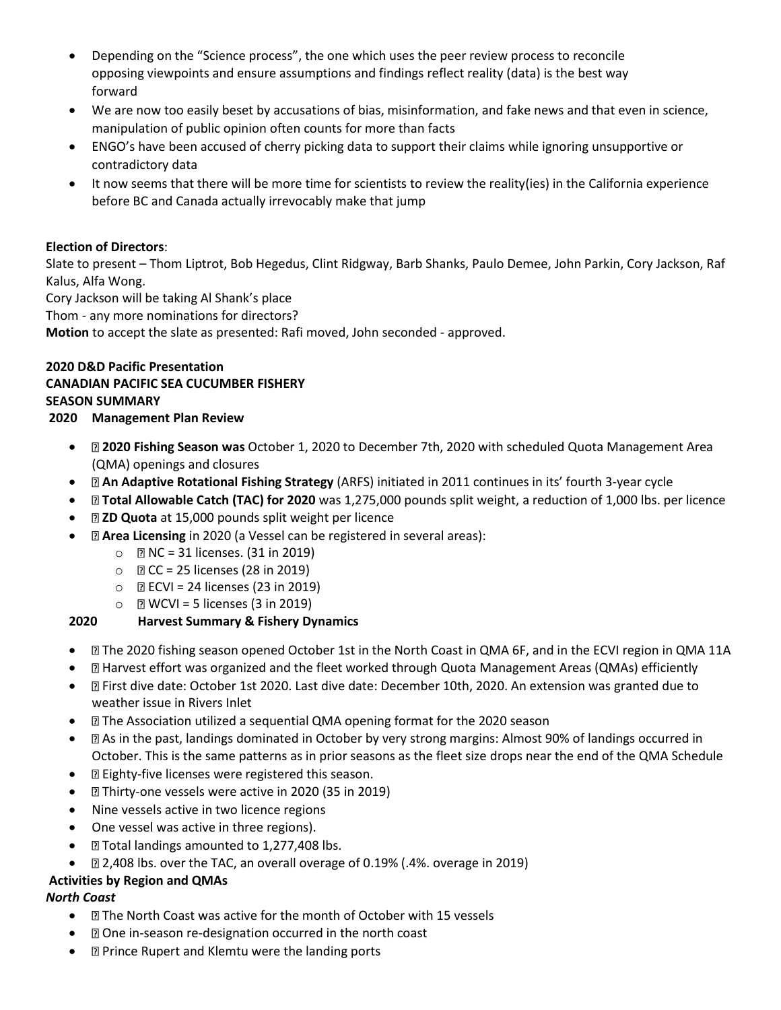- Depending on the "Science process", the one which uses the peer review process to reconcile opposing viewpoints and ensure assumptions and findings reflect reality (data) is the best way forward
- We are now too easily beset by accusations of bias, misinformation, and fake news and that even in science, manipulation of public opinion often counts for more than facts
- ENGO's have been accused of cherry picking data to support their claims while ignoring unsupportive or contradictory data
- It now seems that there will be more time for scientists to review the reality(ies) in the California experience before BC and Canada actually irrevocably make that jump

### **Election of Directors**:

Slate to present – Thom Liptrot, Bob Hegedus, Clint Ridgway, Barb Shanks, Paulo Demee, John Parkin, Cory Jackson, Raf Kalus, Alfa Wong.

Cory Jackson will be taking Al Shank's place

Thom - any more nominations for directors?

**Motion** to accept the slate as presented: Rafi moved, John seconded - approved.

## **2020 D&D Pacific Presentation CANADIAN PACIFIC SEA CUCUMBER FISHERY SEASON SUMMARY**

#### **2020 Management Plan Review**

- **2020 Fishing Season was** October 1, 2020 to December 7th, 2020 with scheduled Quota Management Area (QMA) openings and closures
- **An Adaptive Rotational Fishing Strategy** (ARFS) initiated in 2011 continues in its' fourth 3-year cycle
- **Total Allowable Catch (TAC) for 2020** was 1,275,000 pounds split weight, a reduction of 1,000 lbs. per licence
- **ZD Quota** at 15,000 pounds split weight per licence
- **Area Licensing** in 2020 (a Vessel can be registered in several areas):
	- $\circ$  **PNC** = 31 licenses. (31 in 2019)
	- $\circ$   $\mathbb{R}$  CC = 25 licenses (28 in 2019)
	- $\circ$  **ECVI** = 24 licenses (23 in 2019)
	- $\circ$  **NEVI** = 5 licenses (3 in 2019)

## **2020 Harvest Summary & Fishery Dynamics**

- $\Box$  The 2020 fishing season opened October 1st in the North Coast in QMA 6F, and in the ECVI region in QMA 11A
- Harvest effort was organized and the fleet worked through Quota Management Areas (QMAs) efficiently
- First dive date: October 1st 2020. Last dive date: December 10th, 2020. An extension was granted due to weather issue in Rivers Inlet
- **E** The Association utilized a sequential QMA opening format for the 2020 season
- As in the past, landings dominated in October by very strong margins: Almost 90% of landings occurred in October. This is the same patterns as in prior seasons as the fleet size drops near the end of the QMA Schedule
- **E** Eighty-five licenses were registered this season.
- Thirty-one vessels were active in 2020 (35 in 2019)
- Nine vessels active in two licence regions
- One vessel was active in three regions).
- **Elder** Total landings amounted to 1,277,408 lbs.
- 2,408 lbs. over the TAC, an overall overage of 0.19% (.4%. overage in 2019)

## **Activities by Region and QMAs**

## *North Coast*

- **I** The North Coast was active for the month of October with 15 vessels
- **D** One in-season re-designation occurred in the north coast
- **Prince Rupert and Klemtu were the landing ports**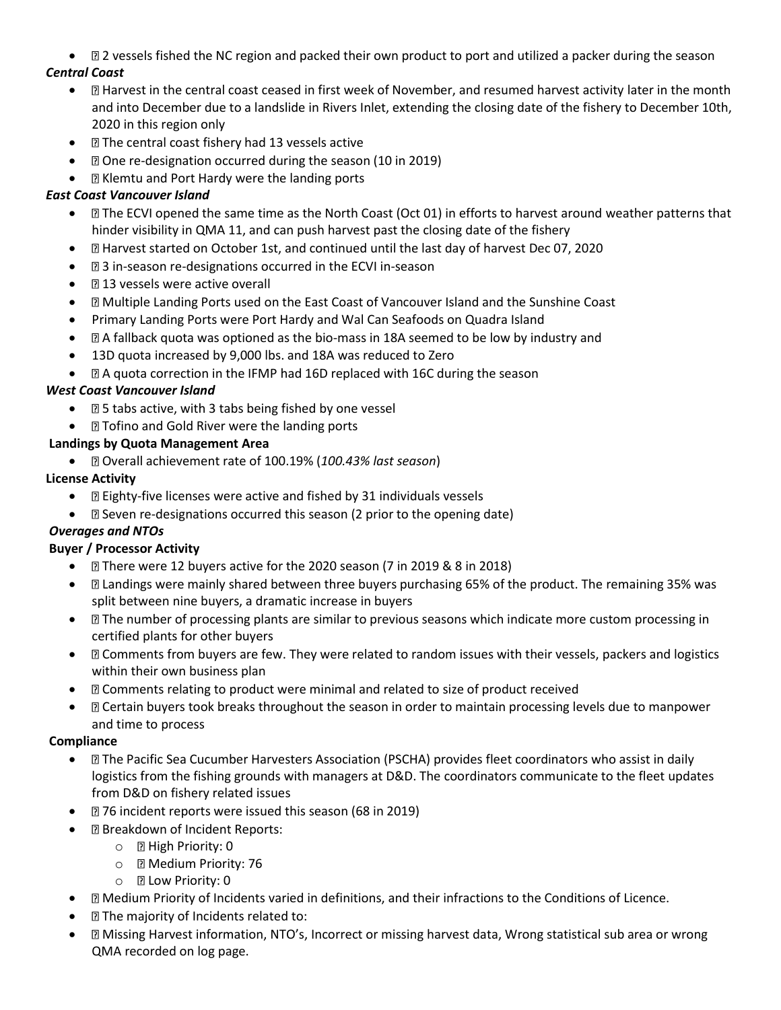• 2 vessels fished the NC region and packed their own product to port and utilized a packer during the season

## *Central Coast*

- $\Box$  Harvest in the central coast ceased in first week of November, and resumed harvest activity later in the month and into December due to a landslide in Rivers Inlet, extending the closing date of the fishery to December 10th, 2020 in this region only
- **The central coast fishery had 13 vessels active**
- **D** One re-designation occurred during the season (10 in 2019)
- Klemtu and Port Hardy were the landing ports

## *East Coast Vancouver Island*

- $\Box$  The ECVI opened the same time as the North Coast (Oct 01) in efforts to harvest around weather patterns that hinder visibility in QMA 11, and can push harvest past the closing date of the fishery
- Harvest started on October 1st, and continued until the last day of harvest Dec 07, 2020
- 3 in-season re-designations occurred in the ECVI in-season
- **13 vessels were active overall**
- Multiple Landing Ports used on the East Coast of Vancouver Island and the Sunshine Coast
- Primary Landing Ports were Port Hardy and Wal Can Seafoods on Quadra Island
- $\bullet$   $\Box$  A fallback quota was optioned as the bio-mass in 18A seemed to be low by industry and
- 13D quota increased by 9,000 lbs. and 18A was reduced to Zero
- A quota correction in the IFMP had 16D replaced with 16C during the season

## *West Coast Vancouver Island*

- **Exter 3** 5 tabs active, with 3 tabs being fished by one vessel
- **D** Tofino and Gold River were the landing ports

## **Landings by Quota Management Area**

• Overall achievement rate of 100.19% (*100.43% last season*)

## **License Activity**

- **Elenally-five licenses were active and fished by 31 individuals vessels**
- $\bullet$   $\Box$  Seven re-designations occurred this season (2 prior to the opening date)

# *Overages and NTOs*

## **Buyer / Processor Activity**

- There were 12 buyers active for the 2020 season (7 in 2019 & 8 in 2018)
- Landings were mainly shared between three buyers purchasing 65% of the product. The remaining 35% was split between nine buyers, a dramatic increase in buyers
- The number of processing plants are similar to previous seasons which indicate more custom processing in certified plants for other buyers
- $\Box$  Comments from buyers are few. They were related to random issues with their vessels, packers and logistics within their own business plan
- Comments relating to product were minimal and related to size of product received
- Certain buyers took breaks throughout the season in order to maintain processing levels due to manpower and time to process

## **Compliance**

- $\Box$  The Pacific Sea Cucumber Harvesters Association (PSCHA) provides fleet coordinators who assist in daily logistics from the fishing grounds with managers at D&D. The coordinators communicate to the fleet updates from D&D on fishery related issues
- 276 incident reports were issued this season (68 in 2019)
- Breakdown of Incident Reports:
	- $\circ$  **E** High Priority: 0
	- o **Medium Priority: 76**
	- o **P** Low Priority: 0
- Medium Priority of Incidents varied in definitions, and their infractions to the Conditions of Licence.
- **I** The majority of Incidents related to:
- Missing Harvest information, NTO's, Incorrect or missing harvest data, Wrong statistical sub area or wrong QMA recorded on log page.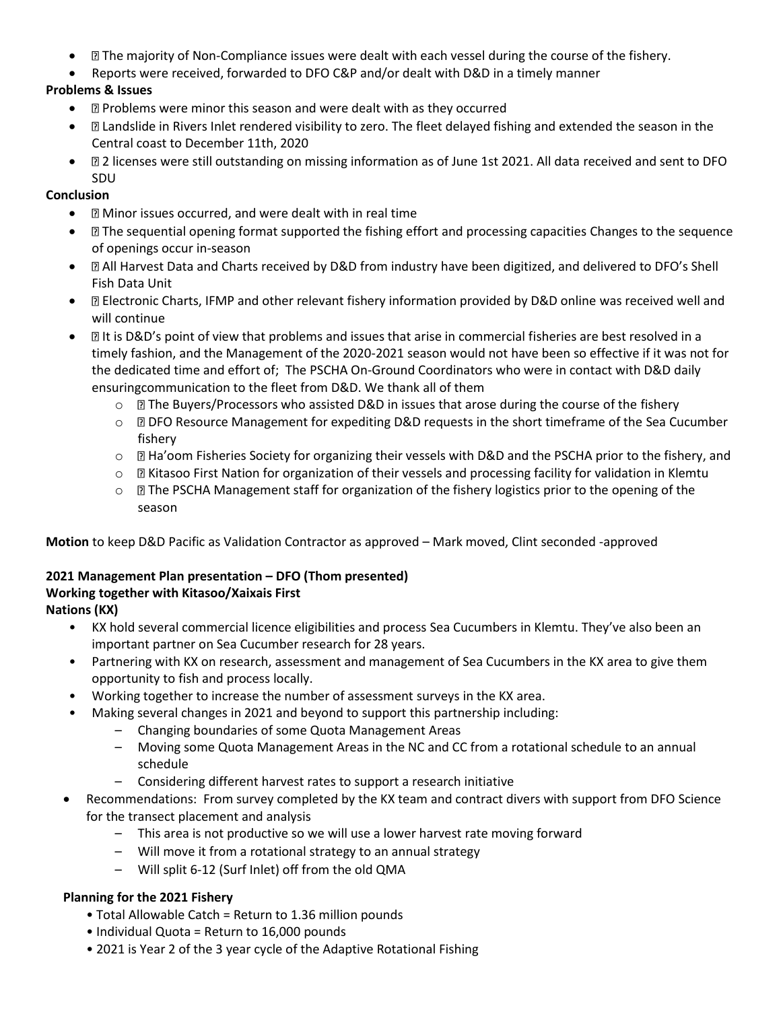- $\Box$  The majority of Non-Compliance issues were dealt with each vessel during the course of the fishery.
- Reports were received, forwarded to DFO C&P and/or dealt with D&D in a timely manner

# **Problems & Issues**

- **Problems were minor this season and were dealt with as they occurred**
- Landslide in Rivers Inlet rendered visibility to zero. The fleet delayed fishing and extended the season in the Central coast to December 11th, 2020
- 2 licenses were still outstanding on missing information as of June 1st 2021. All data received and sent to DFO SDU

## **Conclusion**

- **I Minor issues occurred, and were dealt with in real time**
- The sequential opening format supported the fishing effort and processing capacities Changes to the sequence of openings occur in-season
- **All Harvest Data and Charts received by D&D from industry have been digitized, and delivered to DFO's Shell** Fish Data Unit
- Electronic Charts, IFMP and other relevant fishery information provided by D&D online was received well and will continue
- It is D&D's point of view that problems and issues that arise in commercial fisheries are best resolved in a timely fashion, and the Management of the 2020-2021 season would not have been so effective if it was not for the dedicated time and effort of; The PSCHA On-Ground Coordinators who were in contact with D&D daily ensuringcommunication to the fleet from D&D. We thank all of them
	- $\circ$   $\boxtimes$  The Buyers/Processors who assisted D&D in issues that arose during the course of the fishery
	- $\circ$  **D** DFO Resource Management for expediting D&D requests in the short timeframe of the Sea Cucumber fishery
	- o **E** Ha'oom Fisheries Society for organizing their vessels with D&D and the PSCHA prior to the fishery, and
	- $\circ$   $\boxtimes$  Kitasoo First Nation for organization of their vessels and processing facility for validation in Klemtu
	- $\circ$  **The PSCHA Management staff for organization of the fishery logistics prior to the opening of the** season

**Motion** to keep D&D Pacific as Validation Contractor as approved – Mark moved, Clint seconded -approved

# **2021 Management Plan presentation – DFO (Thom presented)**

# **Working together with Kitasoo/Xaixais First**

**Nations (KX)**

- KX hold several commercial licence eligibilities and process Sea Cucumbers in Klemtu. They've also been an important partner on Sea Cucumber research for 28 years.
- Partnering with KX on research, assessment and management of Sea Cucumbers in the KX area to give them opportunity to fish and process locally.
- Working together to increase the number of assessment surveys in the KX area.
	- Making several changes in 2021 and beyond to support this partnership including:
		- Changing boundaries of some Quota Management Areas
		- Moving some Quota Management Areas in the NC and CC from a rotational schedule to an annual schedule
		- Considering different harvest rates to support a research initiative
- Recommendations: From survey completed by the KX team and contract divers with support from DFO Science for the transect placement and analysis
	- This area is not productive so we will use a lower harvest rate moving forward
	- Will move it from a rotational strategy to an annual strategy
	- Will split 6-12 (Surf Inlet) off from the old QMA

## **Planning for the 2021 Fishery**

- Total Allowable Catch = Return to 1.36 million pounds
- Individual Quota = Return to 16,000 pounds
- 2021 is Year 2 of the 3 year cycle of the Adaptive Rotational Fishing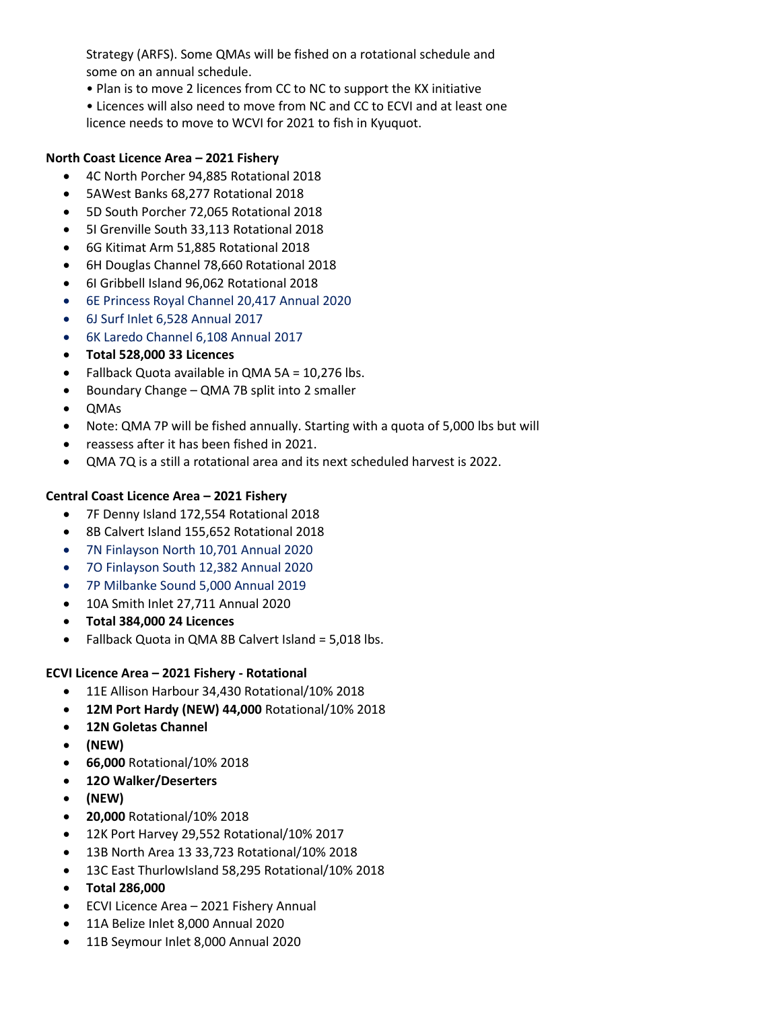Strategy (ARFS). Some QMAs will be fished on a rotational schedule and some on an annual schedule.

• Plan is to move 2 licences from CC to NC to support the KX initiative

• Licences will also need to move from NC and CC to ECVI and at least one licence needs to move to WCVI for 2021 to fish in Kyuquot.

#### **North Coast Licence Area – 2021 Fishery**

- 4C North Porcher 94,885 Rotational 2018
- 5AWest Banks 68,277 Rotational 2018
- 5D South Porcher 72,065 Rotational 2018
- 5I Grenville South 33,113 Rotational 2018
- 6G Kitimat Arm 51,885 Rotational 2018
- 6H Douglas Channel 78,660 Rotational 2018
- 6I Gribbell Island 96,062 Rotational 2018
- 6E Princess Royal Channel 20,417 Annual 2020
- 6J Surf Inlet 6,528 Annual 2017
- 6K Laredo Channel 6,108 Annual 2017
- **Total 528,000 33 Licences**
- Fallback Quota available in QMA 5A = 10,276 lbs.
- Boundary Change QMA 7B split into 2 smaller
- QMAs
- Note: QMA 7P will be fished annually. Starting with a quota of 5,000 lbs but will
- reassess after it has been fished in 2021.
- QMA 7Q is a still a rotational area and its next scheduled harvest is 2022.

#### **Central Coast Licence Area - 2021 Fishery**

- 7F Denny Island 172,554 Rotational 2018
- 8B Calvert Island 155,652 Rotational 2018
- 7N Finlayson North 10,701 Annual 2020
- 7O Finlayson South 12,382 Annual 2020
- 7P Milbanke Sound 5,000 Annual 2019
- 10A Smith Inlet 27,711 Annual 2020
- **Total 384,000 24 Licences**
- Fallback Quota in QMA 8B Calvert Island = 5,018 lbs.

#### **ECVI Licence Area - 2021 Fishery - Rotational**

- 11E Allison Harbour 34,430 Rotational/10% 2018
- **12M Port Hardy (NEW) 44,000** Rotational/10% 2018
- **12N Goletas Channel**
- **(NEW)**
- **66,000** Rotational/10% 2018
- **12O Walker/Deserters**
- **(NEW)**
- **20,000** Rotational/10% 2018
- 12K Port Harvey 29,552 Rotational/10% 2017
- 13B North Area 13 33,723 Rotational/10% 2018
- 13C East ThurlowIsland 58,295 Rotational/10% 2018
- **Total 286,000**
- **•** ECVI Licence Area 2021 Fishery Annual
- 11A Belize Inlet 8,000 Annual 2020
- 11B Seymour Inlet 8,000 Annual 2020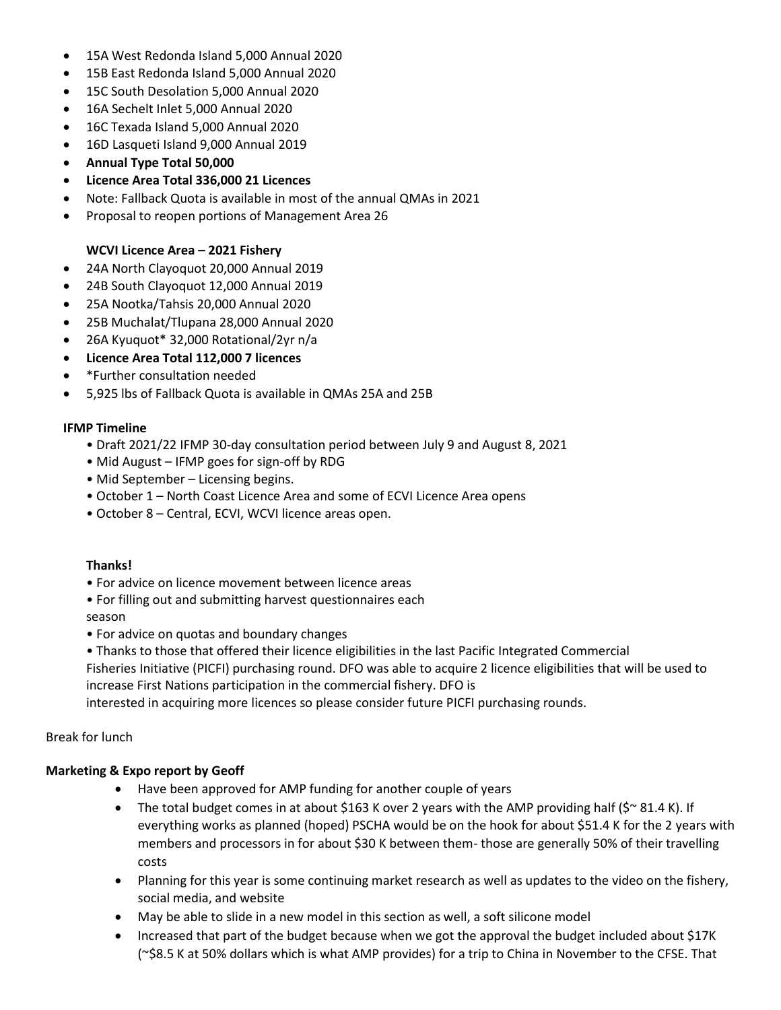- 15A West Redonda Island 5,000 Annual 2020
- 15B East Redonda Island 5,000 Annual 2020
- 15C South Desolation 5,000 Annual 2020
- 16A Sechelt Inlet 5,000 Annual 2020
- 16C Texada Island 5,000 Annual 2020
- 16D Lasqueti Island 9,000 Annual 2019
- **Annual Type Total 50,000**
- **Licence Area Total 336,000 21 Licences**
- Note: Fallback Quota is available in most of the annual QMAs in 2021
- Proposal to reopen portions of Management Area 26

### **WCVI Licence Area - 2021 Fishery**

- 24A North Clayoquot 20,000 Annual 2019
- 24B South Clayoquot 12,000 Annual 2019
- 25A Nootka/Tahsis 20,000 Annual 2020
- 25B Muchalat/Tlupana 28,000 Annual 2020
- 26A Kyuquot\* 32,000 Rotational/2yr n/a
- **Licence Area Total 112,000 7 licences**
- \*Further consultation needed
- 5,925 lbs of Fallback Quota is available in QMAs 25A and 25B

### **IFMP Timeline**

- Draft 2021/22 IFMP 30-day consultation period between July 9 and August 8, 2021
- Mid August IFMP goes for sign-off by RDG
- Mid September Licensing begins.
- October 1 North Coast Licence Area and some of ECVI Licence Area opens
- October 8 Central, ECVI, WCVI licence areas open.

#### **Thanks!**

- For advice on licence movement between licence areas
- For filling out and submitting harvest questionnaires each season
- For advice on quotas and boundary changes
- Thanks to those that offered their licence eligibilities in the last Pacific Integrated Commercial Fisheries Initiative (PICFI) purchasing round. DFO was able to acquire 2 licence eligibilities that will be used to increase First Nations participation in the commercial fishery. DFO is

interested in acquiring more licences so please consider future PICFI purchasing rounds.

### Break for lunch

## **Marketing & Expo report by Geoff**

- Have been approved for AMP funding for another couple of years
- The total budget comes in at about \$163 K over 2 years with the AMP providing half ( $\zeta \sim 81.4$  K). If everything works as planned (hoped) PSCHA would be on the hook for about \$51.4 K for the 2 years with members and processors in for about \$30 K between them- those are generally 50% of their travelling costs
- Planning for this year is some continuing market research as well as updates to the video on the fishery, social media, and website
- May be able to slide in a new model in this section as well, a soft silicone model
- Increased that part of the budget because when we got the approval the budget included about \$17K (~\$8.5 K at 50% dollars which is what AMP provides) for a trip to China in November to the CFSE. That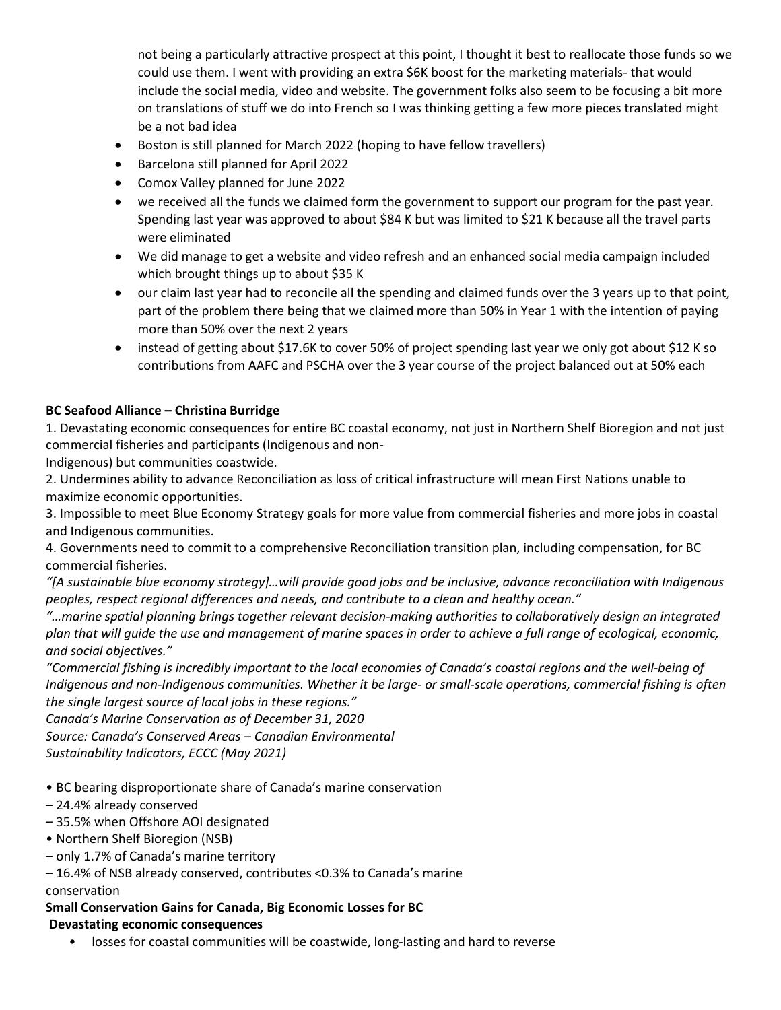not being a particularly attractive prospect at this point, I thought it best to reallocate those funds so we could use them. I went with providing an extra \$6K boost for the marketing materials- that would include the social media, video and website. The government folks also seem to be focusing a bit more on translations of stuff we do into French so I was thinking getting a few more pieces translated might be a not bad idea

- Boston is still planned for March 2022 (hoping to have fellow travellers)
- Barcelona still planned for April 2022
- Comox Valley planned for June 2022
- we received all the funds we claimed form the government to support our program for the past year. Spending last year was approved to about \$84 K but was limited to \$21 K because all the travel parts were eliminated
- We did manage to get a website and video refresh and an enhanced social media campaign included which brought things up to about \$35 K
- our claim last year had to reconcile all the spending and claimed funds over the 3 years up to that point, part of the problem there being that we claimed more than 50% in Year 1 with the intention of paying more than 50% over the next 2 years
- instead of getting about \$17.6K to cover 50% of project spending last year we only got about \$12 K so contributions from AAFC and PSCHA over the 3 year course of the project balanced out at 50% each

## **BC Seafood Alliance – Christina Burridge**

1. Devastating economic consequences for entire BC coastal economy, not just in Northern Shelf Bioregion and not just commercial fisheries and participants (Indigenous and non-

Indigenous) but communities coastwide.

2. Undermines ability to advance Reconciliation as loss of critical infrastructure will mean First Nations unable to maximize economic opportunities.

3. Impossible to meet Blue Economy Strategy goals for more value from commercial fisheries and more jobs in coastal and Indigenous communities.

4. Governments need to commit to a comprehensive Reconciliation transition plan, including compensation, for BC commercial fisheries.

*"[A sustainable blue economy strategy]…will provide good jobs and be inclusive, advance reconciliation with Indigenous peoples, respect regional differences and needs, and contribute to a clean and healthy ocean."*

*"…marine spatial planning brings together relevant decision-making authorities to collaboratively design an integrated plan that will guide the use and management of marine spaces in order to achieve a full range of ecological, economic, and social objectives."*

*"Commercial fishing is incredibly important to the local economies of Canada's coastal regions and the well-being of Indigenous and non-Indigenous communities. Whether it be large- or small-scale operations, commercial fishing is often the single largest source of local jobs in these regions."* 

*Canada's Marine Conservation as of December 31, 2020*

*Source: Canada's Conserved Areas – Canadian Environmental*

# *Sustainability Indicators, ECCC (May 2021)*

- BC bearing disproportionate share of Canada's marine conservation
- 24.4% already conserved
- 35.5% when Offshore AOI designated
- Northern Shelf Bioregion (NSB)
- only 1.7% of Canada's marine territory
- 16.4% of NSB already conserved, contributes <0.3% to Canada's marine

## conservation**isproportionate Marine Conservation**

## **Small Conservation Gains for Canada, Big Economic Losses for BC Devastating economic consequences**

• losses for coastal communities will be coastwide, long-lasting and hard to reverse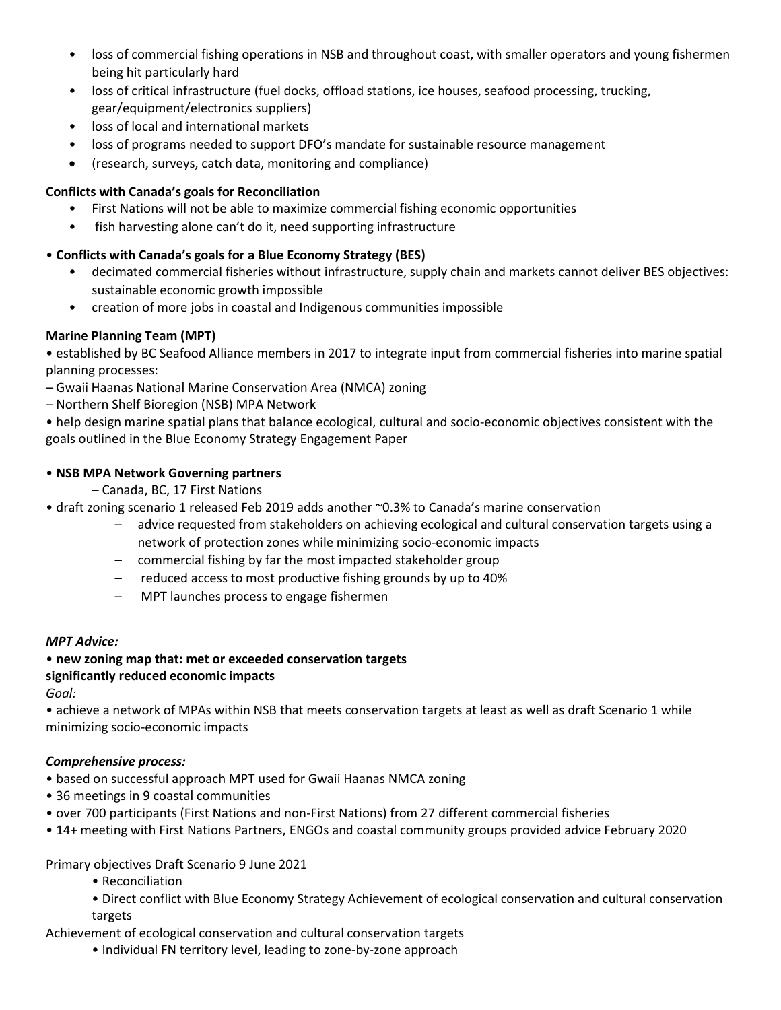- loss of commercial fishing operations in NSB and throughout coast, with smaller operators and young fishermen being hit particularly hard
- loss of critical infrastructure (fuel docks, offload stations, ice houses, seafood processing, trucking, gear/equipment/electronics suppliers)
- loss of local and international markets
- loss of programs needed to support DFO's mandate for sustainable resource management
- (research, surveys, catch data, monitoring and compliance)

### **Conflicts with Canada's goals for Reconciliation**

- First Nations will not be able to maximize commercial fishing economic opportunities
- fish harvesting alone can't do it, need supporting infrastructure

## • **Conflicts with Canada's goals for a Blue Economy Strategy (BES)**

- decimated commercial fisheries without infrastructure, supply chain and markets cannot deliver BES objectives: sustainable economic growth impossible
- creation of more jobs in coastal and Indigenous communities impossible

### **Marine Planning Team (MPT)**

• established by BC Seafood Alliance members in 2017 to integrate input from commercial fisheries into marine spatial planning processes:

– Gwaii Haanas National Marine Conservation Area (NMCA) zoning

– Northern Shelf Bioregion (NSB) MPA Network

• help design marine spatial plans that balance ecological, cultural and socio-economic objectives consistent with the goals outlined in the Blue Economy Strategy Engagement Paper

### • **NSB MPA Network Governing partners**

- Canada, BC, 17 First Nations
- draft zoning scenario 1 released Feb 2019 adds another ~0.3% to Canada's marine conservation
	- advice requested from stakeholders on achieving ecological and cultural conservation targets using a network of protection zones while minimizing socio-economic impacts
	- commercial fishing by far the most impacted stakeholder group
	- reduced access to most productive fishing grounds by up to 40%
	- MPT launches process to engage fishermen

#### *MPT Advice:*

#### • **new zoning map that: met or exceeded conservation targets significantly reduced economic impacts**

*Goal:*

• achieve a network of MPAs within NSB that meets conservation targets at least as well as draft Scenario 1 while minimizing socio-economic impacts

#### *Comprehensive process:*

- based on successful approach MPT used for Gwaii Haanas NMCA zoning
- 36 meetings in 9 coastal communities
- over 700 participants (First Nations and non-First Nations) from 27 different commercial fisheries
- 14+ meeting with First Nations Partners, ENGOs and coastal community groups provided advice February 2020**rine**

## Primary objectives Draft Scenario 9 June 2021

- Reconciliation
- Direct conflict with Blue Economy Strategy Achievement of ecological conservation and cultural conservation targets

Achievement of ecological conservation and cultural conservation targets

• Individual FN territory level, leading to zone-by-zone approach